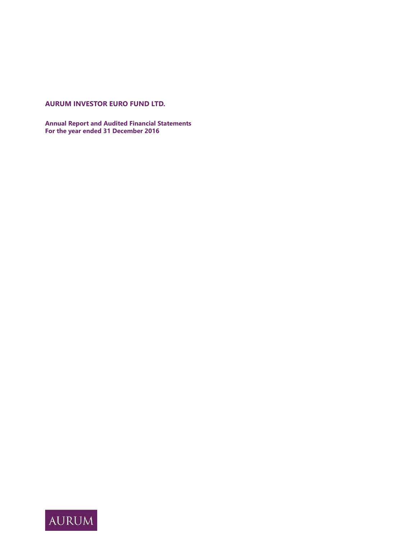# **AURUM INVESTOR EURO FUND LTD.**

**Annual Report and Audited Financial Statements For the year ended 31 December 2016**

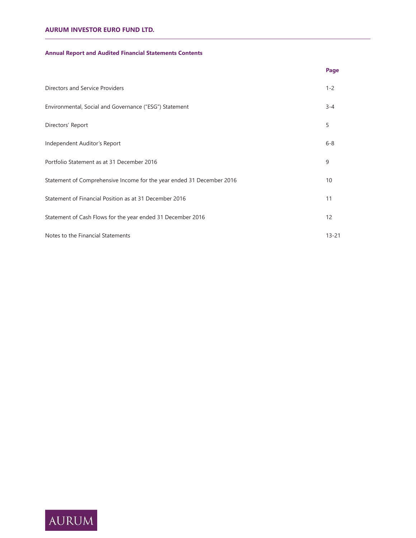# **Annual Report and Audited Financial Statements Contents**

|                                                                       | Page      |
|-----------------------------------------------------------------------|-----------|
| Directors and Service Providers                                       | $1 - 2$   |
| Environmental, Social and Governance ("ESG") Statement                | $3 - 4$   |
| Directors' Report                                                     | 5         |
| Independent Auditor's Report                                          | $6 - 8$   |
| Portfolio Statement as at 31 December 2016                            | 9         |
| Statement of Comprehensive Income for the year ended 31 December 2016 | 10        |
| Statement of Financial Position as at 31 December 2016                | 11        |
| Statement of Cash Flows for the year ended 31 December 2016           | 12        |
| Notes to the Financial Statements                                     | $13 - 21$ |

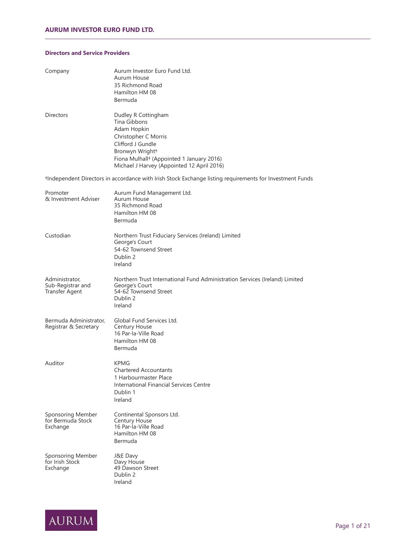# **Directors and Service Providers**

| Company                                               | Aurum Investor Euro Fund Ltd.<br>Aurum House<br>35 Richmond Road<br>Hamilton HM 08<br>Bermuda                                                                                                                             |
|-------------------------------------------------------|---------------------------------------------------------------------------------------------------------------------------------------------------------------------------------------------------------------------------|
| <b>Directors</b>                                      | Dudley R Cottingham<br>Tina Gibbons<br>Adam Hopkin<br>Christopher C Morris<br>Clifford J Gundle<br>Bronwyn Wright+<br>Fiona Mulhall <sup>+</sup> (Appointed 1 January 2016)<br>Michael J Harvey (Appointed 12 April 2016) |
|                                                       | tIndependent Directors in accordance with Irish Stock Exchange listing requirements for Investment Funds                                                                                                                  |
| Promoter<br>& Investment Adviser                      | Aurum Fund Management Ltd.<br>Aurum House<br>35 Richmond Road<br>Hamilton HM 08<br>Bermuda                                                                                                                                |
| Custodian                                             | Northern Trust Fiduciary Services (Ireland) Limited<br>George's Court<br>54-62 Townsend Street<br>Dublin 2<br>Ireland                                                                                                     |
| Administrator,<br>Sub-Registrar and<br>Transfer Agent | Northern Trust International Fund Administration Services (Ireland) Limited<br>George's Court<br>54-62 Townsend Street<br>Dublin 2<br>Ireland                                                                             |
| Bermuda Administrator,<br>Registrar & Secretary       | Global Fund Services Ltd.<br><b>Century House</b><br>16 Par-la-Ville Road<br>Hamilton HM 08<br>Bermuda                                                                                                                    |
| Auditor                                               | KPMG<br><b>Chartered Accountants</b><br>1 Harbourmaster Place<br>International Financial Services Centre<br>Dublin 1<br>Ireland                                                                                           |
| Sponsoring Member<br>for Bermuda Stock<br>Exchange    | Continental Sponsors Ltd.<br>Century House<br>16 Par-la-Ville Road<br>Hamilton HM 08<br><b>Bermuda</b>                                                                                                                    |
| Sponsoring Member<br>for Irish Stock<br>Exchange      | J&E Davy<br>Davy House<br>49 Dawson Street<br>Dublin 2<br>Ireland                                                                                                                                                         |

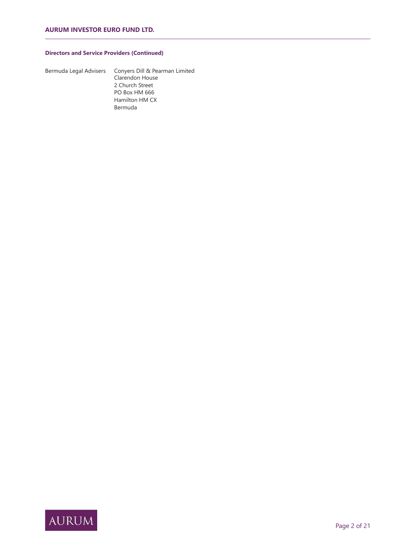# **Directors and Service Providers (Continued)**

| Bermuda Legal Advise |  |
|----------------------|--|
|----------------------|--|

ers Conyers Dill & Pearman Limited Clarendon House 2 Church Street PO Box HM 666 Hamilton HM CX Bermuda

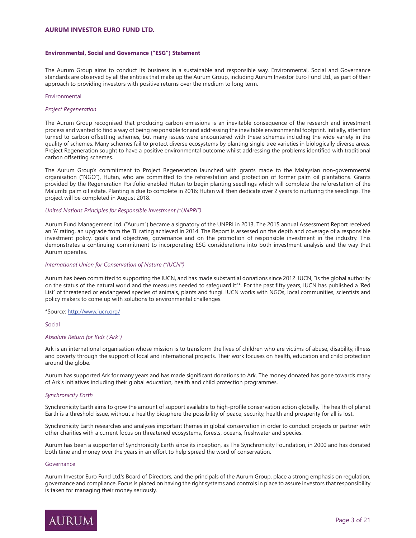### **Environmental, Social and Governance ("ESG") Statement**

The Aurum Group aims to conduct its business in a sustainable and responsible way. Environmental, Social and Governance standards are observed by all the entities that make up the Aurum Group, including Aurum Investor Euro Fund Ltd., as part of their approach to providing investors with positive returns over the medium to long term.

### Environmental

## *Project Regeneration*

The Aurum Group recognised that producing carbon emissions is an inevitable consequence of the research and investment process and wanted to find a way of being responsible for and addressing the inevitable environmental footprint. Initially, attention turned to carbon offsetting schemes, but many issues were encountered with these schemes including the wide variety in the quality of schemes. Many schemes fail to protect diverse ecosystems by planting single tree varieties in biologically diverse areas. Project Regeneration sought to have a positive environmental outcome whilst addressing the problems identified with traditional carbon offsetting schemes.

The Aurum Group's commitment to Project Regeneration launched with grants made to the Malaysian non-governmental organisation ("NGO"), Hutan, who are committed to the reforestation and protection of former palm oil plantations. Grants provided by the Regeneration Portfolio enabled Hutan to begin planting seedlings which will complete the reforestation of the Malumbi palm oil estate. Planting is due to complete in 2016; Hutan will then dedicate over 2 years to nurturing the seedlings. The project will be completed in August 2018.

#### *United Nations Principles for Responsible Investment ("UNPRI")*

Aurum Fund Management Ltd. ("Aurum") became a signatory of the UNPRI in 2013. The 2015 annual Assessment Report received an 'A' rating, an upgrade from the 'B' rating achieved in 2014. The Report is assessed on the depth and coverage of a responsible investment policy, goals and objectives, governance and on the promotion of responsible investment in the industry. This demonstrates a continuing commitment to incorporating ESG considerations into both investment analysis and the way that Aurum operates.

## *International Union for Conservation of Nature ("IUCN")*

Aurum has been committed to supporting the IUCN, and has made substantial donations since 2012. IUCN, "is the global authority on the status of the natural world and the measures needed to safequard it"\*. For the past fifty years, IUCN has published a 'Red List' of threatened or endangered species of animals, plants and fungi. IUCN works with NGOs, local communities, scientists and policy makers to come up with solutions to environmental challenges.

#### \*Source: http://www.iucn.org/

#### Social

#### *Absolute Return for Kids ("Ark")*

Ark is an international organisation whose mission is to transform the lives of children who are victims of abuse, disability, illness and poverty through the support of local and international projects. Their work focuses on health, education and child protection around the globe.

Aurum has supported Ark for many years and has made significant donations to Ark. The money donated has gone towards many of Ark's initiatives including their global education, health and child protection programmes.

#### *Synchronicity Earth*

Synchronicity Earth aims to grow the amount of support available to high-profile conservation action globally. The health of planet Earth is a threshold issue, without a healthy biosphere the possibility of peace, security, health and prosperity for all is lost.

Synchronicity Earth researches and analyses important themes in global conservation in order to conduct projects or partner with other charities with a current focus on threatened ecosystems, forests, oceans, freshwater and species.

Aurum has been a supporter of Synchronicity Earth since its inception, as The Synchronicity Foundation, in 2000 and has donated both time and money over the years in an effort to help spread the word of conservation.

### **Governance**

Aurum Investor Euro Fund Ltd.'s Board of Directors, and the principals of the Aurum Group, place a strong emphasis on regulation, governance and compliance. Focus is placed on having the right systems and controls in place to assure investors that responsibility is taken for managing their money seriously.

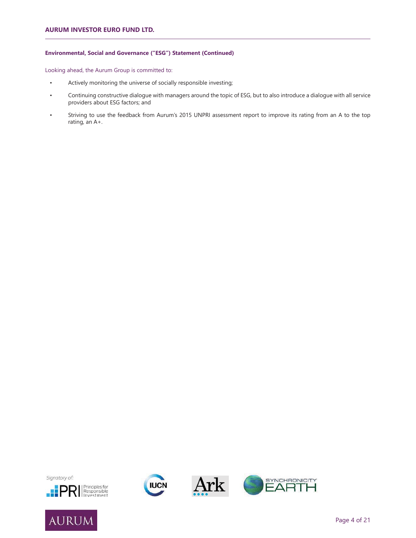## **Environmental, Social and Governance ("ESG") Statement (Continued)**

Looking ahead, the Aurum Group is committed to:

- Actively monitoring the universe of socially responsible investing;
- Continuing constructive dialogue with managers around the topic of ESG, but to also introduce a dialogue with all service providers about ESG factors; and
- Striving to use the feedback from Aurum's 2015 UNPRI assessment report to improve its rating from an A to the top rating, an A+.









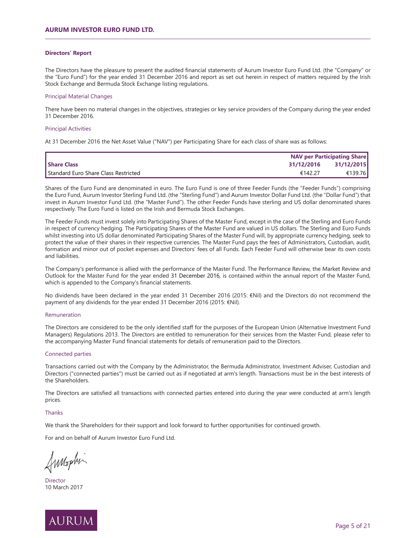## **Directors' Report**

The Directors have the pleasure to present the audited financial statements of Aurum Investor Euro Fund Ltd. (the "Company" or the "Euro Fund") for the year ended 31 December 2016 and report as set out herein in respect of matters required by the Irish Stock Exchange and Bermuda Stock Exchange listing regulations.

### Principal Material Changes

There have been no material changes in the objectives, strategies or key service providers of the Company during the year ended 31 December 2016.

### Principal Activities

At 31 December 2016 the Net Asset Value ("NAV") per Participating Share for each class of share was as follows:

|                                      |            | <b>NAV per Participating Share</b> |  |
|--------------------------------------|------------|------------------------------------|--|
| <b>Share Class</b>                   | 31/12/2016 | 31/12/2015                         |  |
| Standard Euro Share Class Restricted | €142.27    | €139.76                            |  |

Shares of the Euro Fund are denominated in euro. The Euro Fund is one of three Feeder Funds (the "Feeder Funds") comprising the Euro Fund, Aurum Investor Sterling Fund Ltd. (the "Sterling Fund") and Aurum Investor Dollar Fund Ltd. (the "Dollar Fund") that invest in Aurum Investor Fund Ltd. (the "Master Fund"). The other Feeder Funds have sterling and US dollar denominated shares respectively. The Euro Fund is listed on the Irish and Bermuda Stock Exchanges.

The Feeder Funds must invest solely into Participating Shares of the Master Fund, except in the case of the Sterling and Euro Funds in respect of currency hedging. The Participating Shares of the Master Fund are valued in US dollars. The Sterling and Euro Funds whilst investing into US dollar denominated Participating Shares of the Master Fund will, by appropriate currency hedging, seek to protect the value of their shares in their respective currencies. The Master Fund pays the fees of Administrators, Custodian, audit, formation and minor out of pocket expenses and Directors' fees of all Funds. Each Feeder Fund will otherwise bear its own costs and liabilities.

The Company's performance is allied with the performance of the Master Fund. The Performance Review, the Market Review and Outlook for the Master Fund for the year ended 31 December 2016, is contained within the annual report of the Master Fund, which is appended to the Company's financial statements.

No dividends have been declared in the year ended 31 December 2016 (2015: €Nil) and the Directors do not recommend the payment of any dividends for the year ended 31 December 2016 (2015: €Nil).

#### Remuneration

The Directors are considered to be the only identified staff for the purposes of the European Union (Alternative Investment Fund Managers) Regulations 2013. The Directors are entitled to remuneration for their services from the Master Fund, please refer to the accompanying Master Fund financial statements for details of remuneration paid to the Directors.

## Connected parties

Transactions carried out with the Company by the Administrator, the Bermuda Administrator, Investment Adviser, Custodian and Directors ("connected parties") must be carried out as if negotiated at arm's length. Transactions must be in the best interests of the Shareholders.

The Directors are satisfied all transactions with connected parties entered into during the year were conducted at arm's length prices.

#### **Thanks**

We thank the Shareholders for their support and look forward to further opportunities for continued growth.

For and on behalf of Aurum Investor Euro Fund Ltd.

Annaphi

**Director** 10 March 2017

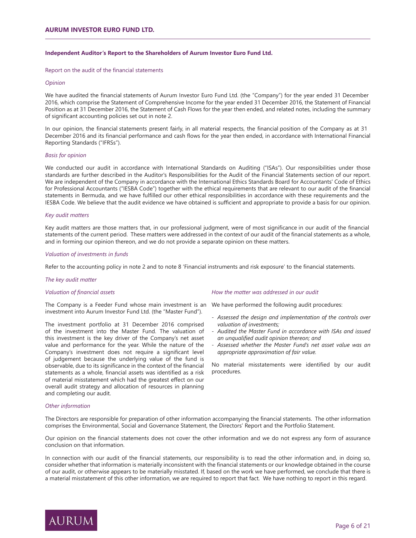## **Independent Auditor's Report to the Shareholders of Aurum Investor Euro Fund Ltd.**

Report on the audit of the financial statements

### *Opinion*

We have audited the financial statements of Aurum Investor Euro Fund Ltd. (the "Company") for the year ended 31 December 2016, which comprise the Statement of Comprehensive Income for the year ended 31 December 2016, the Statement of Financial Position as at 31 December 2016, the Statement of Cash Flows for the year then ended, and related notes, including the summary of significant accounting policies set out in note 2.

In our opinion, the financial statements present fairly, in all material respects, the financial position of the Company as at 31 December 2016 and its financial performance and cash flows for the year then ended, in accordance with International Financial Reporting Standards ("IFRSs").

#### *Basis for opinion*

We conducted our audit in accordance with International Standards on Auditing ("ISAs"). Our responsibilities under those standards are further described in the Auditor's Responsibilities for the Audit of the Financial Statements section of our report. We are independent of the Company in accordance with the International Ethics Standards Board for Accountants' Code of Ethics for Professional Accountants ("IESBA Code") together with the ethical requirements that are relevant to our audit of the financial statements in Bermuda, and we have fulfilled our other ethical responsibilities in accordance with these requirements and the IESBA Code. We believe that the audit evidence we have obtained is sufficient and appropriate to provide a basis for our opinion.

#### *Key audit matters*

Key audit matters are those matters that, in our professional judgment, were of most significance in our audit of the financial statements of the current period. These matters were addressed in the context of our audit of the financial statements as a whole, and in forming our opinion thereon, and we do not provide a separate opinion on these matters.

## *Valuation of investments in funds*

Refer to the accounting policy in note 2 and to note 8 'Financial instruments and risk exposure' to the financial statements.

#### *The key audit matter*

#### *Valuation of financial assets*

The Company is a Feeder Fund whose main investment is an We have performed the following audit procedures: investment into Aurum Investor Fund Ltd. (the "Master Fund").

The investment portfolio at 31 December 2016 comprised of the investment into the Master Fund. The valuation of this investment is the key driver of the Company's net asset value and performance for the year. While the nature of the Company's investment does not require a significant level of judgement because the underlying value of the fund is observable, due to its significance in the context of the financial statements as a whole, financial assets was identified as a risk of material misstatement which had the greatest effect on our overall audit strategy and allocation of resources in planning and completing our audit.

#### *How the matter was addressed in our audit*

- *Assessed the design and implementation of the controls over valuation of investments;*
- *Audited the Master Fund in accordance with ISAs and issued an unqualified audit opinion thereon; and*
- *- Assessed whether the Master Fund's net asset value was an appropriate approximation of fair value.*

No material misstatements were identified by our audit procedures.

#### *Other information*

The Directors are responsible for preparation of other information accompanying the financial statements. The other information comprises the Environmental, Social and Governance Statement, the Directors' Report and the Portfolio Statement.

Our opinion on the financial statements does not cover the other information and we do not express any form of assurance conclusion on that information.

In connection with our audit of the financial statements, our responsibility is to read the other information and, in doing so, consider whether that information is materially inconsistent with the financial statements or our knowledge obtained in the course of our audit, or otherwise appears to be materially misstated. If, based on the work we have performed, we conclude that there is a material misstatement of this other information, we are required to report that fact. We have nothing to report in this regard.

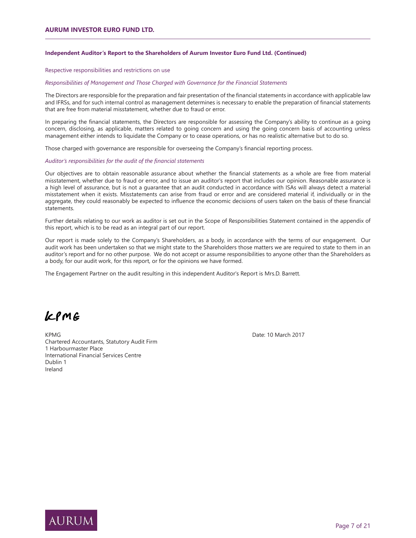## **Independent Auditor's Report to the Shareholders of Aurum Investor Euro Fund Ltd. (Continued)**

Respective responsibilities and restrictions on use

## *Responsibilities of Management and Those Charged with Governance for the Financial Statements*

The Directors are responsible for the preparation and fair presentation of the financial statements in accordance with applicable law and IFRSs, and for such internal control as management determines is necessary to enable the preparation of financial statements that are free from material misstatement, whether due to fraud or error.

In preparing the financial statements, the Directors are responsible for assessing the Company's ability to continue as a going concern, disclosing, as applicable, matters related to going concern and using the going concern basis of accounting unless management either intends to liquidate the Company or to cease operations, or has no realistic alternative but to do so.

Those charged with governance are responsible for overseeing the Company's financial reporting process.

#### Auditor's responsibilities for the audit of the financial statements

Our objectives are to obtain reasonable assurance about whether the financial statements as a whole are free from material misstatement, whether due to fraud or error, and to issue an auditor's report that includes our opinion. Reasonable assurance is a high level of assurance, but is not a guarantee that an audit conducted in accordance with ISAs will always detect a material misstatement when it exists. Misstatements can arise from fraud or error and are considered material if, individually or in the aggregate, they could reasonably be expected to influence the economic decisions of users taken on the basis of these financial statements.

Further details relating to our work as auditor is set out in the Scope of Responsibilities Statement contained in the appendix of this report, which is to be read as an integral part of our report.

Our report is made solely to the Company's Shareholders, as a body, in accordance with the terms of our engagement. Our audit work has been undertaken so that we might state to the Shareholders those matters we are required to state to them in an auditor's report and for no other purpose. We do not accept or assume responsibilities to anyone other than the Shareholders as a body, for our audit work, for this report, or for the opinions we have formed.

The Engagement Partner on the audit resulting in this independent Auditor's Report is Mrs.D. Barrett.

 $LPME$ 

KPMG **Date: 10 March 2017** Chartered Accountants, Statutory Audit Firm 1 Harbourmaster Place International Financial Services Centre Dublin 1 Ireland

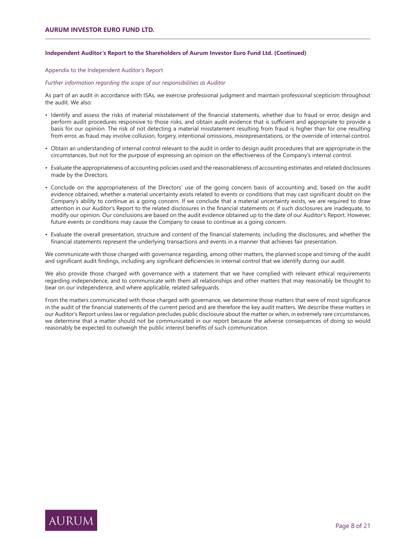## **Independent Auditor's Report to the Shareholders of Aurum Investor Euro Fund Ltd. (Continued)**

Appendix to the Independent Auditor's Report

*Further information regarding the scope of our responsibilities as Auditor* 

As part of an audit in accordance with ISAs, we exercise professional judgment and maintain professional scepticism throughout the audit. We also:

- Identify and assess the risks of material misstatement of the financial statements, whether due to fraud or error, design and perform audit procedures responsive to those risks, and obtain audit evidence that is sufficient and appropriate to provide a basis for our opinion. The risk of not detecting a material misstatement resulting from fraud is higher than for one resulting from error, as fraud may involve collusion, forgery, intentional omissions, misrepresentations, or the override of internal control.
- Obtain an understanding of internal control relevant to the audit in order to design audit procedures that are appropriate in the circumstances, but not for the purpose of expressing an opinion on the effectiveness of the Company's internal control.
- Evaluate the appropriateness of accounting policies used and the reasonableness of accounting estimates and related disclosures made by the Directors.
- Conclude on the appropriateness of the Directors' use of the going concern basis of accounting and, based on the audit evidence obtained, whether a material uncertainty exists related to events or conditions that may cast significant doubt on the Company's ability to continue as a going concern. If we conclude that a material uncertainty exists, we are required to draw attention in our Auditor's Report to the related disclosures in the financial statements or, if such disclosures are inadequate, to modify our opinion. Our conclusions are based on the audit evidence obtained up to the date of our Auditor's Report. However, future events or conditions may cause the Company to cease to continue as a going concern.
- Evaluate the overall presentation, structure and content of the financial statements, including the disclosures, and whether the financial statements represent the underlying transactions and events in a manner that achieves fair presentation.

We communicate with those charged with governance regarding, among other matters, the planned scope and timing of the audit and significant audit findings, including any significant deficiencies in internal control that we identify during our audit.

We also provide those charged with governance with a statement that we have complied with relevant ethical requirements regarding independence, and to communicate with them all relationships and other matters that may reasonably be thought to bear on our independence, and where applicable, related safeguards.

From the matters communicated with those charged with governance, we determine those matters that were of most significance in the audit of the financial statements of the current period and are therefore the key audit matters. We describe these matters in our Auditor's Report unless law or regulation precludes public disclosure about the matter or when, in extremely rare circumstances, we determine that a matter should not be communicated in our report because the adverse consequences of doing so would reasonably be expected to outweigh the public interest benefits of such communication.

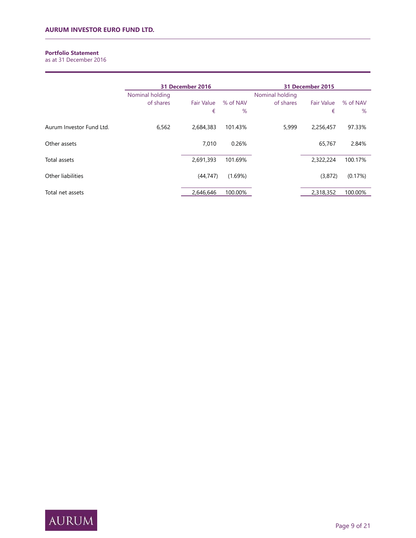# **Portfolio Statement**

as at 31 December 2016

|                          | 31 December 2016 |                   | 31 December 2015 |                 |                   |          |
|--------------------------|------------------|-------------------|------------------|-----------------|-------------------|----------|
|                          | Nominal holding  |                   |                  | Nominal holding |                   |          |
|                          | of shares        | <b>Fair Value</b> | % of NAV         | of shares       | <b>Fair Value</b> | % of NAV |
|                          |                  | €                 | %                |                 | €                 | $\%$     |
| Aurum Investor Fund Ltd. | 6,562            | 2,684,383         | 101.43%          | 5,999           | 2,256,457         | 97.33%   |
| Other assets             |                  | 7.010             | 0.26%            |                 | 65,767            | 2.84%    |
| Total assets             |                  | 2,691,393         | 101.69%          |                 | 2,322,224         | 100.17%  |
| Other liabilities        |                  | (44, 747)         | (1.69%)          |                 | (3,872)           | (0.17%)  |
| Total net assets         |                  | 2,646,646         | 100.00%          |                 | 2,318,352         | 100.00%  |

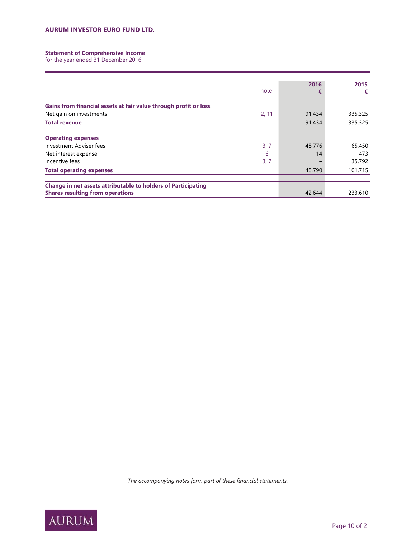#### **Statement of Comprehensive Income**

for the year ended 31 December 2016

|                                                                  | 2016   | 2015    |  |
|------------------------------------------------------------------|--------|---------|--|
| note                                                             | €      | €       |  |
|                                                                  |        |         |  |
| Gains from financial assets at fair value through profit or loss |        |         |  |
| Net gain on investments<br>2, 11                                 | 91,434 | 335,325 |  |
| <b>Total revenue</b>                                             | 91,434 | 335,325 |  |
|                                                                  |        |         |  |
| <b>Operating expenses</b>                                        |        |         |  |
| Investment Adviser fees<br>3, 7                                  | 48,776 | 65,450  |  |
| 6<br>Net interest expense                                        | 14     | 473     |  |
| Incentive fees<br>3, 7                                           |        | 35,792  |  |
| <b>Total operating expenses</b>                                  | 48,790 | 101,715 |  |
|                                                                  |        |         |  |
| Change in net assets attributable to holders of Participating    |        |         |  |
| <b>Shares resulting from operations</b>                          | 42,644 | 233,610 |  |

The accompanying notes form part of these financial statements.

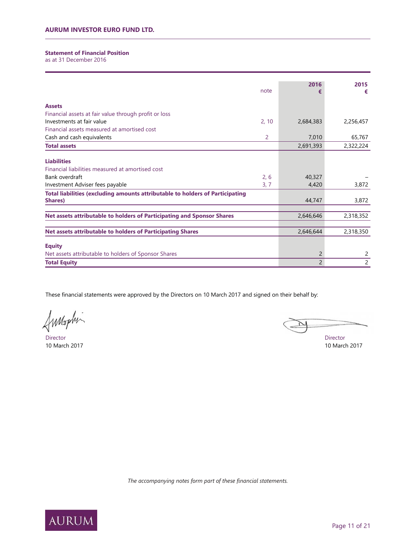## **Statement of Financial Position**

as at 31 December 2016

| note                                                                          | 2016<br>€      | 2015<br>€ |
|-------------------------------------------------------------------------------|----------------|-----------|
| <b>Assets</b>                                                                 |                |           |
| Financial assets at fair value through profit or loss                         |                |           |
| Investments at fair value<br>2, 10                                            | 2,684,383      | 2,256,457 |
| Financial assets measured at amortised cost                                   |                |           |
| Cash and cash equivalents<br>2                                                | 7,010          | 65,767    |
| <b>Total assets</b>                                                           | 2,691,393      | 2,322,224 |
|                                                                               |                |           |
| <b>Liabilities</b>                                                            |                |           |
| Financial liabilities measured at amortised cost                              |                |           |
| 2, 6<br>Bank overdraft                                                        | 40,327         |           |
| 3, 7<br>Investment Adviser fees payable                                       | 4,420          | 3,872     |
| Total liabilities (excluding amounts attributable to holders of Participating |                |           |
| Shares)                                                                       | 44,747         | 3,872     |
|                                                                               |                |           |
| Net assets attributable to holders of Participating and Sponsor Shares        | 2,646,646      | 2,318,352 |
|                                                                               |                |           |
| <b>Net assets attributable to holders of Participating Shares</b>             | 2,646,644      | 2,318,350 |
| <b>Equity</b>                                                                 |                |           |
| Net assets attributable to holders of Sponsor Shares                          | 2              | 2         |
| <b>Total Equity</b>                                                           | $\overline{2}$ | 2         |

These financial statements were approved by the Directors on 10 March 2017 and signed on their behalf by:

J

Director Director 10 March 2017 10 March 2017

The accompanying notes form part of these financial statements.

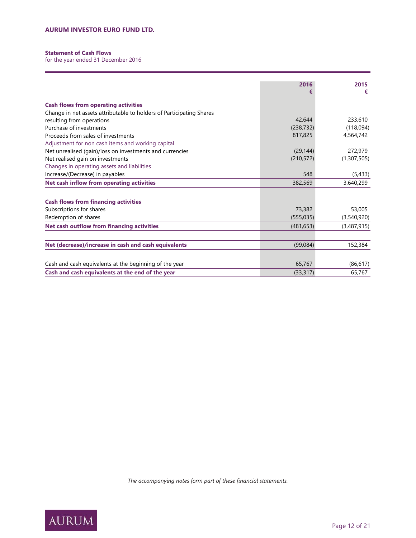# **Statement of Cash Flows**

for the year ended 31 December 2016

|                                                                      | 2016       | 2015        |
|----------------------------------------------------------------------|------------|-------------|
|                                                                      |            | €           |
| <b>Cash flows from operating activities</b>                          |            |             |
| Change in net assets attributable to holders of Participating Shares |            |             |
| resulting from operations                                            | 42,644     | 233,610     |
| Purchase of investments                                              | (238, 732) | (118,094)   |
| Proceeds from sales of investments                                   | 817,825    | 4,564,742   |
| Adjustment for non cash items and working capital                    |            |             |
| Net unrealised (gain)/loss on investments and currencies             | (29, 144)  | 272,979     |
| Net realised gain on investments                                     | (210, 572) | (1,307,505) |
| Changes in operating assets and liabilities                          |            |             |
| Increase/(Decrease) in payables                                      | 548        | (5, 433)    |
| Net cash inflow from operating activities                            | 382,569    | 3,640,299   |
|                                                                      |            |             |
| <b>Cash flows from financing activities</b>                          |            |             |
| Subscriptions for shares                                             | 73,382     | 53,005      |
| Redemption of shares                                                 | (555, 035) | (3,540,920) |
| <b>Net cash outflow from financing activities</b>                    | (481, 653) | (3,487,915) |
|                                                                      |            |             |
| Net (decrease)/increase in cash and cash equivalents                 | (99,084)   | 152,384     |
|                                                                      |            |             |
| Cash and cash equivalents at the beginning of the year               | 65,767     | (86, 617)   |
| Cash and cash equivalents at the end of the year                     | (33, 317)  | 65,767      |

The accompanying notes form part of these financial statements.

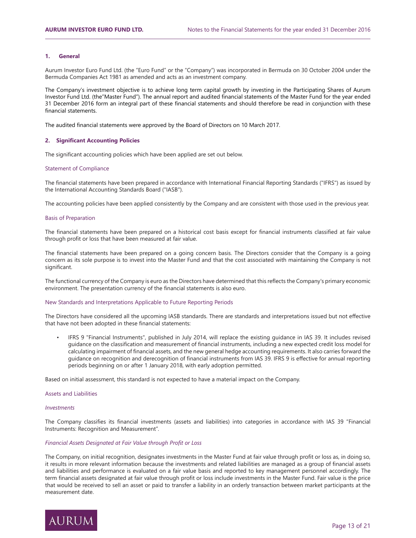## **1. General**

Aurum Investor Euro Fund Ltd. (the "Euro Fund" or the "Company") was incorporated in Bermuda on 30 October 2004 under the Bermuda Companies Act 1981 as amended and acts as an investment company.

The Company's investment objective is to achieve long term capital growth by investing in the Participating Shares of Aurum Investor Fund Ltd. (the"Master Fund"). The annual report and audited financial statements of the Master Fund for the year ended 31 December 2016 form an integral part of these financial statements and should therefore be read in conjunction with these financial statements.

The audited financial statements were approved by the Board of Directors on 10 March 2017.

#### **2. Significant Accounting Policies**

The significant accounting policies which have been applied are set out below.

#### Statement of Compliance

The financial statements have been prepared in accordance with International Financial Reporting Standards ("IFRS") as issued by the International Accounting Standards Board ("IASB").

The accounting policies have been applied consistently by the Company and are consistent with those used in the previous year.

#### Basis of Preparation

The financial statements have been prepared on a historical cost basis except for financial instruments classified at fair value through profit or loss that have been measured at fair value.

The financial statements have been prepared on a going concern basis. The Directors consider that the Company is a going concern as its sole purpose is to invest into the Master Fund and that the cost associated with maintaining the Company is not significant.

The functional currency of the Company is euro as the Directors have determined that this reflects the Company's primary economic environment. The presentation currency of the financial statements is also euro.

#### New Standards and Interpretations Applicable to Future Reporting Periods

The Directors have considered all the upcoming IASB standards. There are standards and interpretations issued but not effective that have not been adopted in these financial statements:

• IFRS 9 "Financial Instruments", published in July 2014, will replace the existing guidance in IAS 39. It includes revised guidance on the classification and measurement of financial instruments, including a new expected credit loss model for calculating impairment of financial assets, and the new general hedge accounting requirements. It also carries forward the guidance on recognition and derecognition of financial instruments from IAS 39. IFRS 9 is effective for annual reporting periods beginning on or after 1 January 2018, with early adoption permitted.

Based on initial assessment, this standard is not expected to have a material impact on the Company.

#### Assets and Liabilities

## *Investments*

The Company classifies its financial investments (assets and liabilities) into categories in accordance with IAS 39 "Financial Instruments: Recognition and Measurement".

#### **Financial Assets Designated at Fair Value through Profit or Loss**

The Company, on initial recognition, designates investments in the Master Fund at fair value through profit or loss as, in doing so, it results in more relevant information because the investments and related liabilities are managed as a group of financial assets and liabilities and performance is evaluated on a fair value basis and reported to key management personnel accordingly. The term financial assets designated at fair value through profit or loss include investments in the Master Fund. Fair value is the price that would be received to sell an asset or paid to transfer a liability in an orderly transaction between market participants at the measurement date.

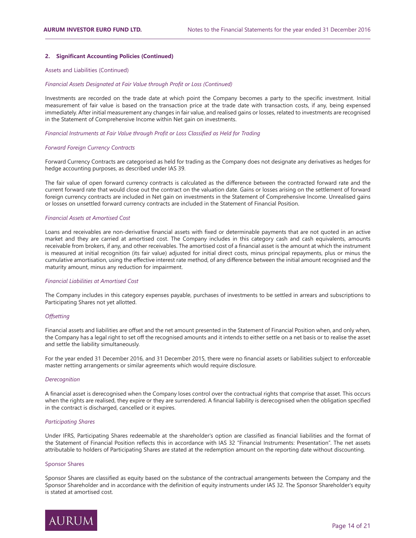## **2. Significant Accounting Policies (Continued)**

### Assets and Liabilities (Continued)

#### **Financial Assets Designated at Fair Value through Profit or Loss (Continued)**

Investments are recorded on the trade date at which point the Company becomes a party to the specific investment. Initial measurement of fair value is based on the transaction price at the trade date with transaction costs, if any, being expensed immediately. After initial measurement any changes in fair value, and realised gains or losses, related to investments are recognised in the Statement of Comprehensive Income within Net gain on investments.

## Financial Instruments at Fair Value through Profit or Loss Classified as Held for Trading

#### *Forward Foreign Currency Contracts*

Forward Currency Contracts are categorised as held for trading as the Company does not designate any derivatives as hedges for hedge accounting purposes, as described under IAS 39.

The fair value of open forward currency contracts is calculated as the difference between the contracted forward rate and the current forward rate that would close out the contract on the valuation date. Gains or losses arising on the settlement of forward foreign currency contracts are included in Net gain on investments in the Statement of Comprehensive Income. Unrealised gains or losses on unsettled forward currency contracts are included in the Statement of Financial Position.

#### *Financial Assets at Amortised Cost*

Loans and receivables are non-derivative financial assets with fixed or determinable payments that are not quoted in an active market and they are carried at amortised cost. The Company includes in this category cash and cash equivalents, amounts receivable from brokers, if any, and other receivables. The amortised cost of a financial asset is the amount at which the instrument is measured at initial recognition (its fair value) adjusted for initial direct costs, minus principal repayments, plus or minus the cumulative amortisation, using the effective interest rate method, of any difference between the initial amount recognised and the maturity amount, minus any reduction for impairment.

#### **Financial Liabilities at Amortised Cost**

The Company includes in this category expenses payable, purchases of investments to be settled in arrears and subscriptions to Participating Shares not yet allotted.

#### **2***<u>Offsetting</u>*

Financial assets and liabilities are offset and the net amount presented in the Statement of Financial Position when, and only when, the Company has a legal right to set off the recognised amounts and it intends to either settle on a net basis or to realise the asset and settle the liability simultaneously.

For the year ended 31 December 2016, and 31 December 2015, there were no financial assets or liabilities subject to enforceable master netting arrangements or similar agreements which would require disclosure.

## *Derecognition*

A financial asset is derecognised when the Company loses control over the contractual rights that comprise that asset. This occurs when the rights are realised, they expire or they are surrendered. A financial liability is derecognised when the obligation specified in the contract is discharged, cancelled or it expires.

### *Participating Shares*

Under IFRS, Participating Shares redeemable at the shareholder's option are classified as financial liabilities and the format of the Statement of Financial Position reflects this in accordance with IAS 32 "Financial Instruments: Presentation". The net assets attributable to holders of Participating Shares are stated at the redemption amount on the reporting date without discounting.

#### Sponsor Shares

Sponsor Shares are classified as equity based on the substance of the contractual arrangements between the Company and the Sponsor Shareholder and in accordance with the definition of equity instruments under IAS 32. The Sponsor Shareholder's equity is stated at amortised cost.

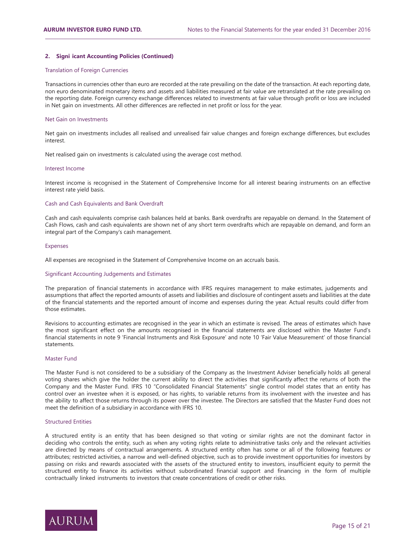## **2. Signi icant Accounting Policies (Continued)**

## Translation of Foreign Currencies

Transactions in currencies other than euro are recorded at the rate prevailing on the date of the transaction. At each reporting date, non euro denominated monetary items and assets and liabilities measured at fair value are retranslated at the rate prevailing on the reporting date. Foreign currency exchange differences related to investments at fair value through profit or loss are included in Net gain on investments. All other differences are reflected in net profit or loss for the year.

#### Net Gain on Investments

Net gain on investments includes all realised and unrealised fair value changes and foreign exchange differences, but excludes interest.

Net realised gain on investments is calculated using the average cost method.

#### Interest Income

Interest income is recognised in the Statement of Comprehensive Income for all interest bearing instruments on an effective interest rate yield basis.

#### Cash and Cash Equivalents and Bank Overdraft

Cash and cash equivalents comprise cash balances held at banks. Bank overdrafts are repayable on demand. In the Statement of Cash Flows, cash and cash equivalents are shown net of any short term overdrafts which are repayable on demand, and form an integral part of the Company's cash management.

#### Expenses

All expenses are recognised in the Statement of Comprehensive Income on an accruals basis.

#### Significant Accounting Judgements and Estimates

The preparation of financial statements in accordance with IFRS requires management to make estimates, judgements and assumptions that affect the reported amounts of assets and liabilities and disclosure of contingent assets and liabilities at the date of the financial statements and the reported amount of income and expenses during the year. Actual results could differ from those estimates.

Revisions to accounting estimates are recognised in the year in which an estimate is revised. The areas of estimates which have the most significant effect on the amounts recognised in the financial statements are disclosed within the Master Fund's financial statements in note 9 'Financial Instruments and Risk Exposure' and note 10 'Fair Value Measurement' of those financial statements.

## Master Fund

The Master Fund is not considered to be a subsidiary of the Company as the Investment Adviser beneficially holds all general voting shares which give the holder the current ability to direct the activities that significantly affect the returns of both the Company and the Master Fund. IFRS 10 "Consolidated Financial Statements" single control model states that an entity has control over an investee when it is exposed, or has rights, to variable returns from its involvement with the investee and has the ability to affect those returns through its power over the investee. The Directors are satisfied that the Master Fund does not meet the definition of a subsidiary in accordance with IFRS 10.

## Structured Entities

A structured entity is an entity that has been designed so that voting or similar rights are not the dominant factor in deciding who controls the entity, such as when any voting rights relate to administrative tasks only and the relevant activities are directed by means of contractual arrangements. A structured entity often has some or all of the following features or attributes; restricted activities, a narrow and well-defined objective, such as to provide investment opportunities for investors by passing on risks and rewards associated with the assets of the structured entity to investors, insufficient equity to permit the structured entity to finance its activities without subordinated financial support and financing in the form of multiple contractually linked instruments to investors that create concentrations of credit or other risks.

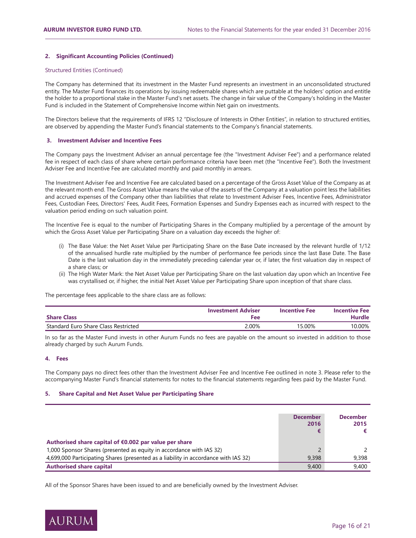## **2. Significant Accounting Policies (Continued)**

## Structured Entities (Continued)

The Company has determined that its investment in the Master Fund represents an investment in an unconsolidated structured entity. The Master Fund finances its operations by issuing redeemable shares which are puttable at the holders' option and entitle the holder to a proportional stake in the Master Fund's net assets. The change in fair value of the Company's holding in the Master Fund is included in the Statement of Comprehensive Income within Net gain on investments.

The Directors believe that the requirements of IFRS 12 "Disclosure of Interests in Other Entities", in relation to structured entities, are observed by appending the Master Fund's financial statements to the Company's financial statements.

#### **3.** Investment Adviser and Incentive Fees

The Company pays the Investment Adviser an annual percentage fee (the "Investment Adviser Fee") and a performance related fee in respect of each class of share where certain performance criteria have been met (the "Incentive Fee"). Both the Investment Adviser Fee and Incentive Fee are calculated monthly and paid monthly in arrears.

The Investment Adviser Fee and Incentive Fee are calculated based on a percentage of the Gross Asset Value of the Company as at the relevant month end. The Gross Asset Value means the value of the assets of the Company at a valuation point less the liabilities and accrued expenses of the Company other than liabilities that relate to Investment Adviser Fees, Incentive Fees, Administrator Fees, Custodian Fees, Directors' Fees, Audit Fees, Formation Expenses and Sundry Expenses each as incurred with respect to the valuation period ending on such valuation point.

The Incentive Fee is equal to the number of Participating Shares in the Company multiplied by a percentage of the amount by which the Gross Asset Value per Participating Share on a valuation day exceeds the higher of:

- (i) The Base Value: the Net Asset Value per Participating Share on the Base Date increased by the relevant hurdle of 1/12 of the annualised hurdle rate multiplied by the number of performance fee periods since the last Base Date. The Base Date is the last valuation day in the immediately preceding calendar year or, if later, the first valuation day in respect of a share class; or
- (ii) The High Water Mark: the Net Asset Value per Participating Share on the last valuation day upon which an Incentive Fee was crystallised or, if higher, the initial Net Asset Value per Participating Share upon inception of that share class.

The percentage fees applicable to the share class are as follows:

| <b>Share Class</b>                   | <b>Investment Adviser</b><br>Fee | <b>Incentive Fee</b> | <b>Incentive Fee</b><br><b>Hurdle</b> |
|--------------------------------------|----------------------------------|----------------------|---------------------------------------|
| Standard Euro Share Class Restricted | 2.00%                            | 15.00%               | 10.00%                                |

In so far as the Master Fund invests in other Aurum Funds no fees are payable on the amount so invested in addition to those already charged by such Aurum Funds.

## **4. Fees**

The Company pays no direct fees other than the Investment Adviser Fee and Incentive Fee outlined in note 3. Please refer to the accompanying Master Fund's financial statements for notes to the financial statements regarding fees paid by the Master Fund.

#### **5. Share Capital and Net Asset Value per Participating Share**

|                                                                                     | <b>December</b><br>2016 | <b>December</b><br>2015 |
|-------------------------------------------------------------------------------------|-------------------------|-------------------------|
| Authorised share capital of €0.002 par value per share                              |                         |                         |
| 1,000 Sponsor Shares (presented as equity in accordance with IAS 32)                |                         |                         |
| 4,699,000 Participating Shares (presented as a liability in accordance with IAS 32) | 9.398                   | 9.398                   |
| <b>Authorised share capital</b>                                                     | 9,400                   | 9,400                   |

All of the Sponsor Shares have been issued to and are beneficially owned by the Investment Adviser.

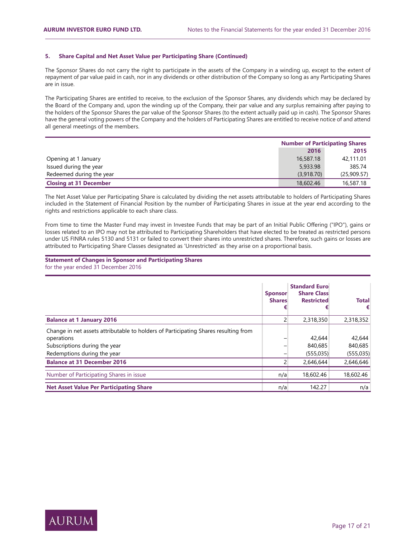## **5. Share Capital and Net Asset Value per Participating Share (Continued)**

The Sponsor Shares do not carry the right to participate in the assets of the Company in a winding up, except to the extent of repayment of par value paid in cash, nor in any dividends or other distribution of the Company so long as any Participating Shares are in issue.

The Participating Shares are entitled to receive, to the exclusion of the Sponsor Shares, any dividends which may be declared by the Board of the Company and, upon the winding up of the Company, their par value and any surplus remaining after paying to the holders of the Sponsor Shares the par value of the Sponsor Shares (to the extent actually paid up in cash). The Sponsor Shares have the general voting powers of the Company and the holders of Participating Shares are entitled to receive notice of and attend all general meetings of the members.

|                               | <b>Number of Participating Shares</b> |             |  |
|-------------------------------|---------------------------------------|-------------|--|
|                               | 2016<br>2015                          |             |  |
| Opening at 1 January          | 16,587.18                             | 42,111.01   |  |
| Issued during the year        | 5,933.98                              | 385.74      |  |
| Redeemed during the year      | (3,918,70)                            | (25,909.57) |  |
| <b>Closing at 31 December</b> | 18,602.46                             | 16,587.18   |  |

The Net Asset Value per Participating Share is calculated by dividing the net assets attributable to holders of Participating Shares included in the Statement of Financial Position by the number of Participating Shares in issue at the year end according to the rights and restrictions applicable to each share class.

From time to time the Master Fund may invest in Investee Funds that may be part of an Initial Public Offering ("IPO"), gains or losses related to an IPO may not be attributed to Participating Shareholders that have elected to be treated as restricted persons under US FINRA rules 5130 and 5131 or failed to convert their shares into unrestricted shares. Therefore, such gains or losses are attributed to Participating Share Classes designated as 'Unrestricted' as they arise on a proportional basis.

**Statement of Changes in Sponsor and Participating Shares** for the year ended 31 December 2016

|                                                                                                                                                                   | <b>Sponsor</b><br><b>Shares</b> | <b>Standard Euro</b><br><b>Share Class</b><br><b>Restricted</b> | <b>Total</b><br>€               |
|-------------------------------------------------------------------------------------------------------------------------------------------------------------------|---------------------------------|-----------------------------------------------------------------|---------------------------------|
| <b>Balance at 1 January 2016</b>                                                                                                                                  |                                 | 2,318,350                                                       | 2,318,352                       |
| Change in net assets attributable to holders of Participating Shares resulting from<br>operations<br>Subscriptions during the year<br>Redemptions during the year |                                 | 42,644<br>840,685<br>(555, 035)                                 | 42,644<br>840.685<br>(555, 035) |
| <b>Balance at 31 December 2016</b>                                                                                                                                |                                 | 2.646.644                                                       | 2,646,646                       |
| Number of Participating Shares in issue                                                                                                                           | n/a                             | 18,602.46                                                       | 18,602.46                       |
| <b>Net Asset Value Per Participating Share</b>                                                                                                                    | n/a                             | 142.27                                                          | n/a                             |

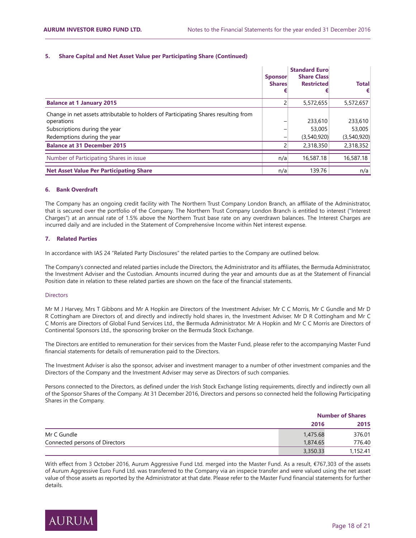## **5. Share Capital and Net Asset Value per Participating Share (Continued)**

|                                                                                                                                                                   | <b>Sponsor</b><br><b>Shares</b> | <b>Standard Euro</b><br><b>Share Class</b><br><b>Restricted</b> | <b>Total</b><br>€                |
|-------------------------------------------------------------------------------------------------------------------------------------------------------------------|---------------------------------|-----------------------------------------------------------------|----------------------------------|
| <b>Balance at 1 January 2015</b>                                                                                                                                  |                                 | 5,572,655                                                       | 5,572,657                        |
| Change in net assets attributable to holders of Participating Shares resulting from<br>operations<br>Subscriptions during the year<br>Redemptions during the year |                                 | 233,610<br>53,005<br>(3,540,920)                                | 233,610<br>53,005<br>(3,540,920) |
| <b>Balance at 31 December 2015</b>                                                                                                                                |                                 | 2,318,350                                                       | 2,318,352                        |
| Number of Participating Shares in issue                                                                                                                           | n/a                             | 16,587.18                                                       | 16,587.18                        |
| <b>Net Asset Value Per Participating Share</b>                                                                                                                    | n/a                             | 139.76                                                          | n/a                              |

## **6.** Bank Overdraft

The Company has an ongoing credit facility with The Northern Trust Company London Branch, an affiliate of the Administrator, that is secured over the portfolio of the Company. The Northern Trust Company London Branch is entitled to interest ("Interest Charges") at an annual rate of 1.5% above the Northern Trust base rate on any overdrawn balances. The Interest Charges are incurred daily and are included in the Statement of Comprehensive Income within Net interest expense.

## **7. Related Parties**

In accordance with IAS 24 "Related Party Disclosures" the related parties to the Company are outlined below.

The Company's connected and related parties include the Directors, the Administrator and its affiliates, the Bermuda Administrator, the Investment Adviser and the Custodian. Amounts incurred during the year and amounts due as at the Statement of Financial Position date in relation to these related parties are shown on the face of the financial statements.

## **Directors**

Mr M J Harvey, Mrs T Gibbons and Mr A Hopkin are Directors of the Investment Adviser. Mr C C Morris, Mr C Gundle and Mr D R Cottingham are Directors of, and directly and indirectly hold shares in, the Investment Adviser. Mr D R Cottingham and Mr C C Morris are Directors of Global Fund Services Ltd., the Bermuda Administrator. Mr A Hopkin and Mr C C Morris are Directors of Continental Sponsors Ltd., the sponsoring broker on the Bermuda Stock Exchange.

The Directors are entitled to remuneration for their services from the Master Fund, please refer to the accompanying Master Fund financial statements for details of remuneration paid to the Directors.

The Investment Adviser is also the sponsor, adviser and investment manager to a number of other investment companies and the Directors of the Company and the Investment Adviser may serve as Directors of such companies.

Persons connected to the Directors, as defined under the Irish Stock Exchange listing requirements, directly and indirectly own all of the Sponsor Shares of the Company. At 31 December 2016, Directors and persons so connected held the following Participating Shares in the Company.

|                                |          | <b>Number of Shares</b> |  |  |
|--------------------------------|----------|-------------------------|--|--|
|                                | 2016     | 2015                    |  |  |
| Mr C Gundle                    | 1,475.68 | 376.01                  |  |  |
| Connected persons of Directors | 1,874.65 | 776.40                  |  |  |
|                                | 3,350.33 | 1,152.41                |  |  |

With effect from 3 October 2016, Aurum Aggressive Fund Ltd. merged into the Master Fund. As a result, €767,303 of the assets of Aurum Aggressive Euro Fund Ltd. was transferred to the Company via an inspecie transfer and were valued using the net asset value of those assets as reported by the Administrator at that date. Please refer to the Master Fund financial statements for further details.

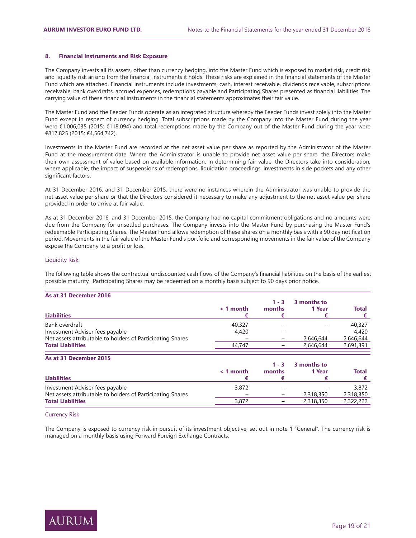### **8. Financial Instruments and Risk Exposure**

The Company invests all its assets, other than currency hedging, into the Master Fund which is exposed to market risk, credit risk and liquidity risk arising from the financial instruments it holds. These risks are explained in the financial statements of the Master Fund which are attached. Financial instruments include investments, cash, interest receivable, dividends receivable, subscriptions receivable, bank overdrafts, accrued expenses, redemptions payable and Participating Shares presented as financial liabilities. The carrying value of these financial instruments in the financial statements approximates their fair value.

The Master Fund and the Feeder Funds operate as an integrated structure whereby the Feeder Funds invest solely into the Master Fund except in respect of currency hedging. Total subscriptions made by the Company into the Master Fund during the year were €1,006,035 (2015: €118,094) and total redemptions made by the Company out of the Master Fund during the year were €817,825 (2015: €4,564,742).

Investments in the Master Fund are recorded at the net asset value per share as reported by the Administrator of the Master Fund at the measurement date. Where the Administrator is unable to provide net asset value per share, the Directors make their own assessment of value based on available information. In determining fair value, the Directors take into consideration, where applicable, the impact of suspensions of redemptions, liquidation proceedings, investments in side pockets and any other significant factors.

At 31 December 2016, and 31 December 2015, there were no instances wherein the Administrator was unable to provide the net asset value per share or that the Directors considered it necessary to make any adjustment to the net asset value per share provided in order to arrive at fair value.

As at 31 December 2016, and 31 December 2015, the Company had no capital commitment obligations and no amounts were due from the Company for unsettled purchases. The Company invests into the Master Fund by purchasing the Master Fund's redeemable Participating Shares. The Master Fund allows redemption of these shares on a monthly basis with a 90 day notification period. Movements in the fair value of the Master Fund's portfolio and corresponding movements in the fair value of the Company expose the Company to a profit or loss.

#### Liquidity Risk

The following table shows the contractual undiscounted cash flows of the Company's financial liabilities on the basis of the earliest possible maturity. Participating Shares may be redeemed on a monthly basis subject to 90 days prior notice.

## **As at 31 December 2016**

| <b>Liabilities</b>                                         | $\leq 1$ month           | $1 - 3$<br>months | 3 months to<br>1 Year | <b>Total</b> |
|------------------------------------------------------------|--------------------------|-------------------|-----------------------|--------------|
| Bank overdraft                                             | 40.327                   |                   |                       | 40,327       |
| Investment Adviser fees payable                            | 4.420                    |                   |                       | 4,420        |
| Net assets attributable to holders of Participating Shares | $\overline{\phantom{0}}$ | $\equiv$          | 2,646,644             | 2,646,644    |
| <b>Total Liabilities</b>                                   | 44,747                   |                   | 2,646,644             | 2,691,391    |

| As at 31 December 2015   |                                  |                                               |                                       |  |  |  |  |
|--------------------------|----------------------------------|-----------------------------------------------|---------------------------------------|--|--|--|--|
|                          |                                  |                                               |                                       |  |  |  |  |
|                          |                                  | 1 Year                                        | Total                                 |  |  |  |  |
|                          |                                  |                                               |                                       |  |  |  |  |
|                          |                                  |                                               | 3,872                                 |  |  |  |  |
| $\overline{\phantom{0}}$ |                                  |                                               | 2,318,350                             |  |  |  |  |
|                          | $\overline{\phantom{0}}$         |                                               | 2,322,222                             |  |  |  |  |
|                          | $\leq 1$ month<br>3,872<br>3,872 | $1 - 3$<br>months<br>$\overline{\phantom{a}}$ | 3 months to<br>2,318,350<br>2,318,350 |  |  |  |  |

## Currency Risk

The Company is exposed to currency risk in pursuit of its investment objective, set out in note 1 "General". The currency risk is managed on a monthly basis using Forward Foreign Exchange Contracts.

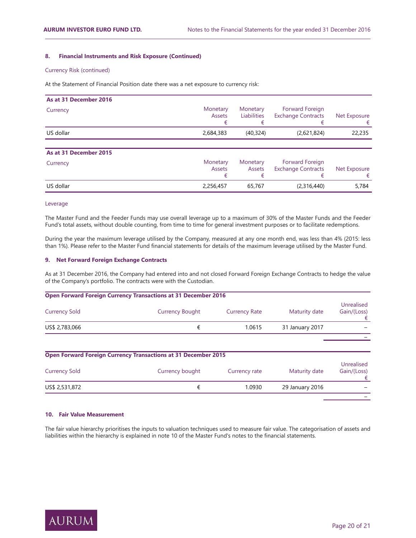## **8. Financial Instruments and Risk Exposure (Continued)**

## Currency Risk (continued)

At the Statement of Financial Position date there was a net exposure to currency risk:

| As at 31 December 2016 |                    |                           |                                              |              |
|------------------------|--------------------|---------------------------|----------------------------------------------|--------------|
| Currency               | Monetary<br>Assets | Monetary<br>Liabilities   | Forward Foreign<br><b>Exchange Contracts</b> | Net Exposure |
| US dollar              | 2,684,383          | (40, 324)                 | (2,621,824)                                  | 22,235       |
|                        |                    |                           |                                              |              |
| As at 31 December 2015 |                    |                           |                                              |              |
| Currency               | Monetary<br>Assets | Monetary<br><b>Assets</b> | Forward Foreign<br><b>Exchange Contracts</b> | Net Exposure |
| US dollar              | 2,256,457          | 65,767                    | (2,316,440)                                  | 5,784        |

## Leverage

The Master Fund and the Feeder Funds may use overall leverage up to a maximum of 30% of the Master Funds and the Feeder Fund's total assets, without double counting, from time to time for general investment purposes or to facilitate redemptions.

During the year the maximum leverage utilised by the Company, measured at any one month end, was less than 4% (2015: less than 1%). Please refer to the Master Fund financial statements for details of the maximum leverage utilised by the Master Fund.

#### **9.** Net Forward Foreign Exchange Contracts

As at 31 December 2016, the Company had entered into and not closed Forward Foreign Exchange Contracts to hedge the value of the Company's portfolio. The contracts were with the Custodian.

| <b>Open Forward Foreign Currency Transactions at 31 December 2016</b> |                        |                      |                 |                           |  |
|-----------------------------------------------------------------------|------------------------|----------------------|-----------------|---------------------------|--|
| <b>Currency Sold</b>                                                  | <b>Currency Bought</b> | <b>Currency Rate</b> | Maturity date   | Unrealised<br>Gain/(Loss) |  |
| US\$ 2,783,066                                                        |                        | 1.0615               | 31 January 2017 |                           |  |
|                                                                       |                        |                      |                 |                           |  |

| <b>Open Forward Foreign Currency Transactions at 31 December 2015</b> |                 |               |                 |                           |  |  |
|-----------------------------------------------------------------------|-----------------|---------------|-----------------|---------------------------|--|--|
| <b>Currency Sold</b>                                                  | Currency bought | Currency rate | Maturity date   | Unrealised<br>Gain/(Loss) |  |  |
| US\$ 2,531,872                                                        |                 | 1.0930        | 29 January 2016 |                           |  |  |
|                                                                       |                 |               |                 |                           |  |  |

## **10. Fair Value Measurement**

The fair value hierarchy prioritises the inputs to valuation techniques used to measure fair value. The categorisation of assets and liabilities within the hierarchy is explained in note 10 of the Master Fund's notes to the financial statements.